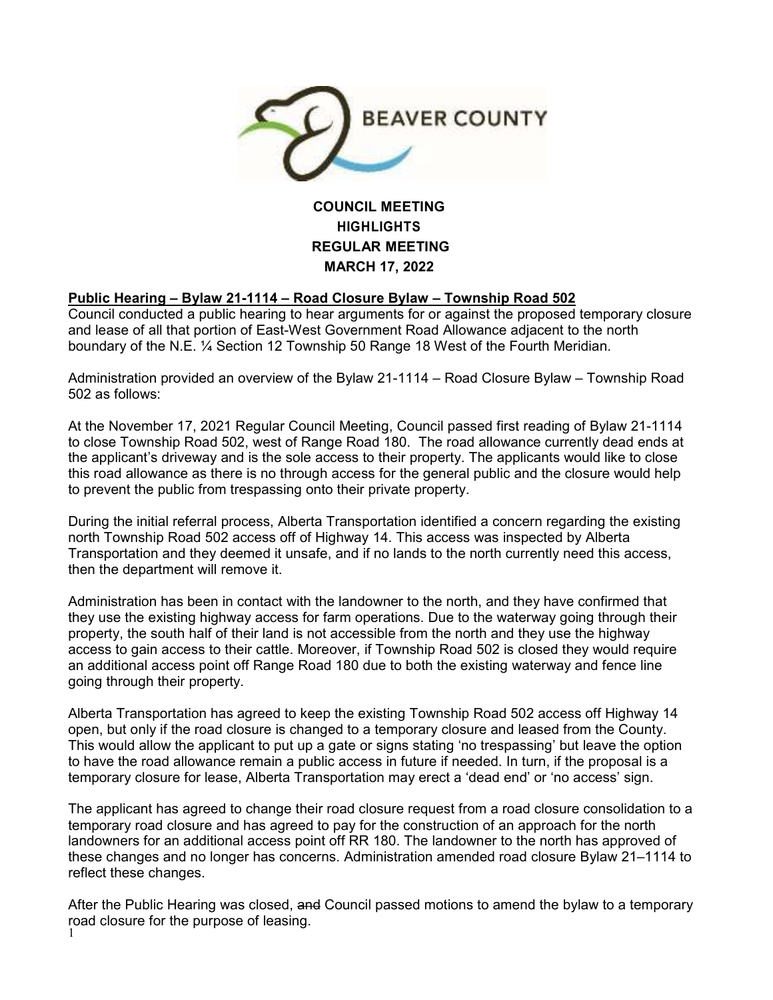

# **COUNCIL MEETING HIGHLIGHTS REGULAR MEETING MARCH 17, 2022**

# **Public Hearing – Bylaw 21-1114 – Road Closure Bylaw – Township Road 502**

Council conducted a public hearing to hear arguments for or against the proposed temporary closure and lease of all that portion of East-West Government Road Allowance adjacent to the north boundary of the N.E. ¼ Section 12 Township 50 Range 18 West of the Fourth Meridian.

Administration provided an overview of the Bylaw 21-1114 – Road Closure Bylaw – Township Road 502 as follows:

At the November 17, 2021 Regular Council Meeting, Council passed first reading of Bylaw 21-1114 to close Township Road 502, west of Range Road 180. The road allowance currently dead ends at the applicant's driveway and is the sole access to their property. The applicants would like to close this road allowance as there is no through access for the general public and the closure would help to prevent the public from trespassing onto their private property.

During the initial referral process, Alberta Transportation identified a concern regarding the existing north Township Road 502 access off of Highway 14. This access was inspected by Alberta Transportation and they deemed it unsafe, and if no lands to the north currently need this access, then the department will remove it.

Administration has been in contact with the landowner to the north, and they have confirmed that they use the existing highway access for farm operations. Due to the waterway going through their property, the south half of their land is not accessible from the north and they use the highway access to gain access to their cattle. Moreover, if Township Road 502 is closed they would require an additional access point off Range Road 180 due to both the existing waterway and fence line going through their property.

Alberta Transportation has agreed to keep the existing Township Road 502 access off Highway 14 open, but only if the road closure is changed to a temporary closure and leased from the County. This would allow the applicant to put up a gate or signs stating 'no trespassing' but leave the option to have the road allowance remain a public access in future if needed. In turn, if the proposal is a temporary closure for lease, Alberta Transportation may erect a 'dead end' or 'no access' sign.

The applicant has agreed to change their road closure request from a road closure consolidation to a temporary road closure and has agreed to pay for the construction of an approach for the north landowners for an additional access point off RR 180. The landowner to the north has approved of these changes and no longer has concerns. Administration amended road closure Bylaw 21–1114 to reflect these changes.

road closure for the purpose of leasing.<br><sup>1</sup> After the Public Hearing was closed, and Council passed motions to amend the bylaw to a temporary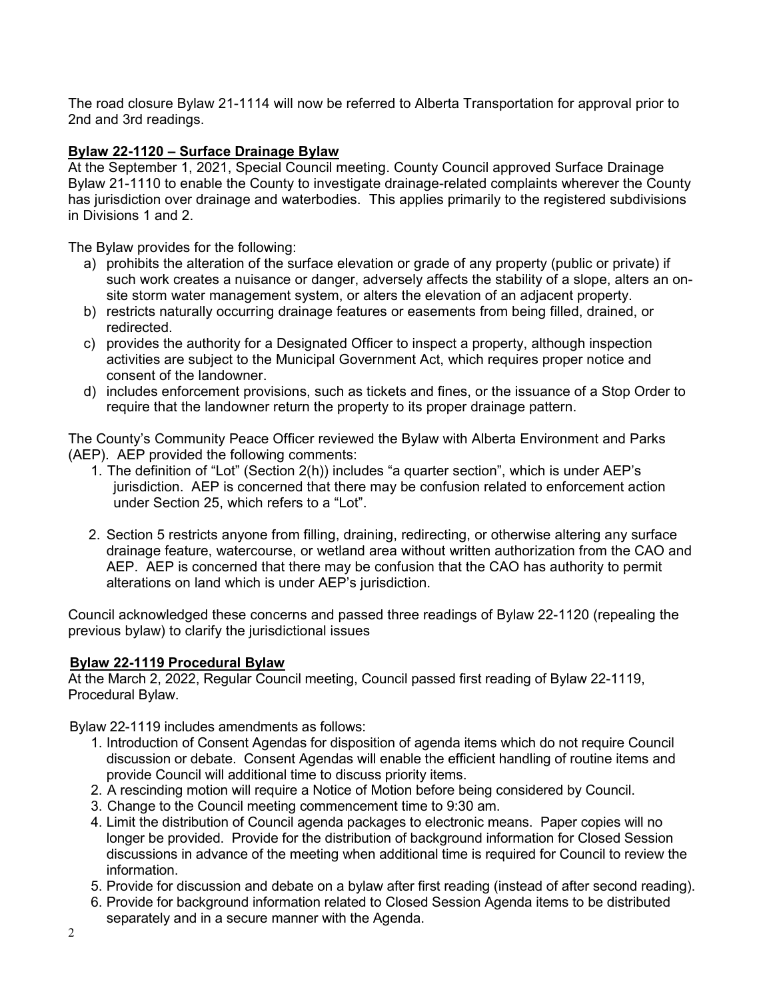The road closure Bylaw 21-1114 will now be referred to Alberta Transportation for approval prior to 2nd and 3rd readings.

## **Bylaw 22-1120 – Surface Drainage Bylaw**

At the September 1, 2021, Special Council meeting. County Council approved Surface Drainage Bylaw 21-1110 to enable the County to investigate drainage-related complaints wherever the County has jurisdiction over drainage and waterbodies. This applies primarily to the registered subdivisions in Divisions 1 and 2.

The Bylaw provides for the following:

- a) prohibits the alteration of the surface elevation or grade of any property (public or private) if such work creates a nuisance or danger, adversely affects the stability of a slope, alters an onsite storm water management system, or alters the elevation of an adjacent property.
- b) restricts naturally occurring drainage features or easements from being filled, drained, or redirected.
- c) provides the authority for a Designated Officer to inspect a property, although inspection activities are subject to the Municipal Government Act, which requires proper notice and consent of the landowner.
- d) includes enforcement provisions, such as tickets and fines, or the issuance of a Stop Order to require that the landowner return the property to its proper drainage pattern.

The County's Community Peace Officer reviewed the Bylaw with Alberta Environment and Parks (AEP). AEP provided the following comments:

- 1. The definition of "Lot" (Section 2(h)) includes "a quarter section", which is under AEP's jurisdiction. AEP is concerned that there may be confusion related to enforcement action under Section 25, which refers to a "Lot".
- 2. Section 5 restricts anyone from filling, draining, redirecting, or otherwise altering any surface drainage feature, watercourse, or wetland area without written authorization from the CAO and AEP. AEP is concerned that there may be confusion that the CAO has authority to permit alterations on land which is under AEP's jurisdiction.

Council acknowledged these concerns and passed three readings of Bylaw 22-1120 (repealing the previous bylaw) to clarify the jurisdictional issues

## **Bylaw 22-1119 Procedural Bylaw**

At the March 2, 2022, Regular Council meeting, Council passed first reading of Bylaw 22-1119, Procedural Bylaw.

Bylaw 22-1119 includes amendments as follows:

- 1. Introduction of Consent Agendas for disposition of agenda items which do not require Council discussion or debate. Consent Agendas will enable the efficient handling of routine items and provide Council will additional time to discuss priority items.
- 2. A rescinding motion will require a Notice of Motion before being considered by Council.
- 3. Change to the Council meeting commencement time to 9:30 am.
- 4. Limit the distribution of Council agenda packages to electronic means. Paper copies will no longer be provided. Provide for the distribution of background information for Closed Session discussions in advance of the meeting when additional time is required for Council to review the information.
- 5. Provide for discussion and debate on a bylaw after first reading (instead of after second reading).
- 6. Provide for background information related to Closed Session Agenda items to be distributed separately and in a secure manner with the Agenda.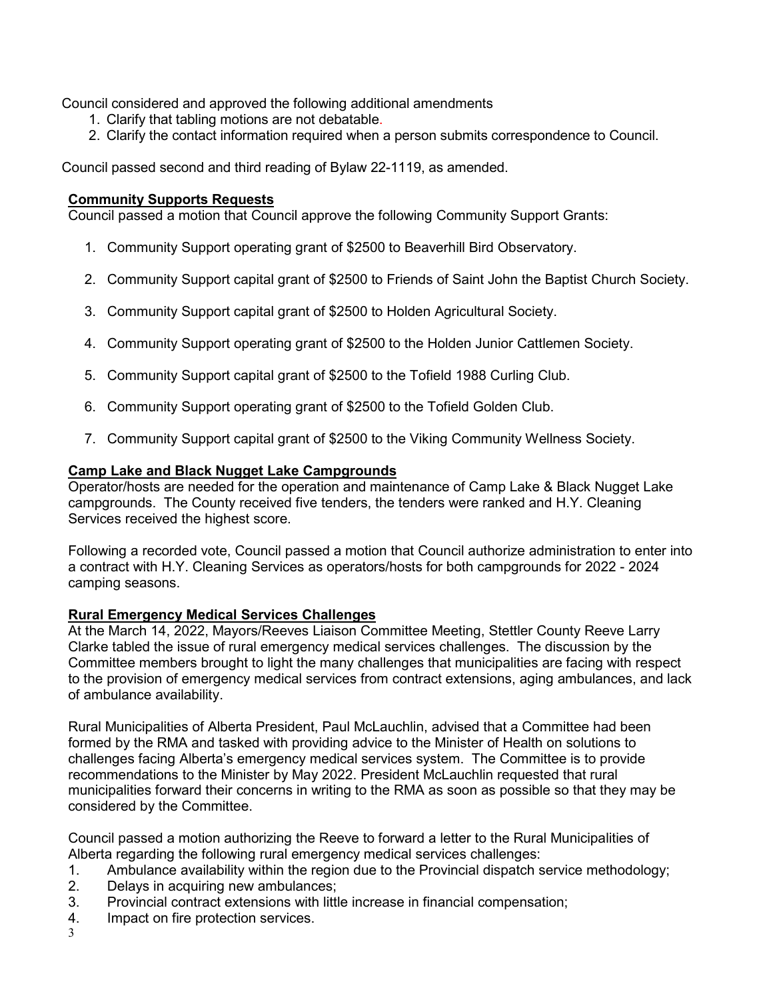Council considered and approved the following additional amendments

- 1. Clarify that tabling motions are not debatable.
- 2. Clarify the contact information required when a person submits correspondence to Council.

Council passed second and third reading of Bylaw 22-1119, as amended.

## **Community Supports Requests**

Council passed a motion that Council approve the following Community Support Grants:

- 1. Community Support operating grant of \$2500 to Beaverhill Bird Observatory.
- 2. Community Support capital grant of \$2500 to Friends of Saint John the Baptist Church Society.
- 3. Community Support capital grant of \$2500 to Holden Agricultural Society.
- 4. Community Support operating grant of \$2500 to the Holden Junior Cattlemen Society.
- 5. Community Support capital grant of \$2500 to the Tofield 1988 Curling Club.
- 6. Community Support operating grant of \$2500 to the Tofield Golden Club.
- 7. Community Support capital grant of \$2500 to the Viking Community Wellness Society.

### **Camp Lake and Black Nugget Lake Campgrounds**

Operator/hosts are needed for the operation and maintenance of Camp Lake & Black Nugget Lake campgrounds. The County received five tenders, the tenders were ranked and H.Y. Cleaning Services received the highest score.

Following a recorded vote, Council passed a motion that Council authorize administration to enter into a contract with H.Y. Cleaning Services as operators/hosts for both campgrounds for 2022 - 2024 camping seasons.

### **Rural Emergency Medical Services Challenges**

At the March 14, 2022, Mayors/Reeves Liaison Committee Meeting, Stettler County Reeve Larry Clarke tabled the issue of rural emergency medical services challenges. The discussion by the Committee members brought to light the many challenges that municipalities are facing with respect to the provision of emergency medical services from contract extensions, aging ambulances, and lack of ambulance availability.

Rural Municipalities of Alberta President, Paul McLauchlin, advised that a Committee had been formed by the RMA and tasked with providing advice to the Minister of Health on solutions to challenges facing Alberta's emergency medical services system. The Committee is to provide recommendations to the Minister by May 2022. President McLauchlin requested that rural municipalities forward their concerns in writing to the RMA as soon as possible so that they may be considered by the Committee.

Council passed a motion authorizing the Reeve to forward a letter to the Rural Municipalities of Alberta regarding the following rural emergency medical services challenges:

- 1. Ambulance availability within the region due to the Provincial dispatch service methodology;<br>2. Delavs in acquiring new ambulances:
- Delays in acquiring new ambulances;
- 3. Provincial contract extensions with little increase in financial compensation;
- 4. Impact on fire protection services.
- 3